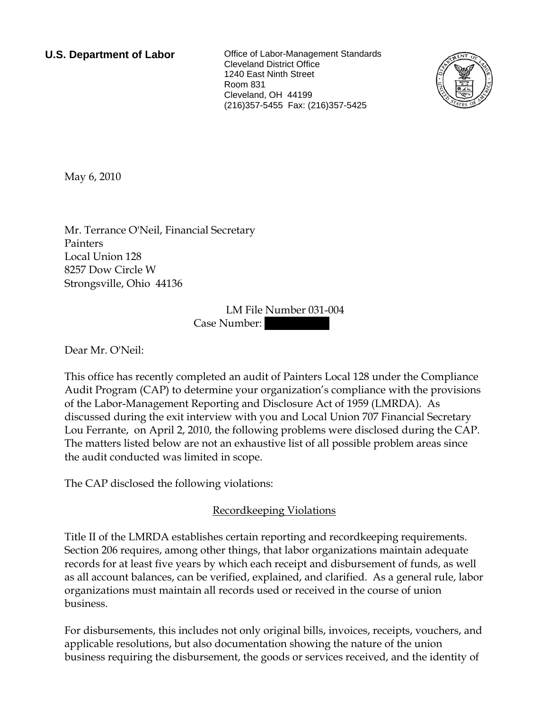**U.S. Department of Labor Conservation Conservation Clabor-Management Standards** Cleveland District Office 1240 East Ninth Street Room 831 Cleveland, OH 44199 (216)357-5455 Fax: (216)357-5425



May 6, 2010

Mr. Terrance O'Neil, Financial Secretary Painters Local Union 128 8257 Dow Circle W Strongsville, Ohio 44136

> LM File Number 031-004 Case Number:

Dear Mr. O'Neil:

This office has recently completed an audit of Painters Local 128 under the Compliance Audit Program (CAP) to determine your organization's compliance with the provisions of the Labor-Management Reporting and Disclosure Act of 1959 (LMRDA). As discussed during the exit interview with you and Local Union 707 Financial Secretary Lou Ferrante, on April 2, 2010, the following problems were disclosed during the CAP. The matters listed below are not an exhaustive list of all possible problem areas since the audit conducted was limited in scope.

The CAP disclosed the following violations:

# Recordkeeping Violations

Title II of the LMRDA establishes certain reporting and recordkeeping requirements. Section 206 requires, among other things, that labor organizations maintain adequate records for at least five years by which each receipt and disbursement of funds, as well as all account balances, can be verified, explained, and clarified. As a general rule, labor organizations must maintain all records used or received in the course of union business.

For disbursements, this includes not only original bills, invoices, receipts, vouchers, and applicable resolutions, but also documentation showing the nature of the union business requiring the disbursement, the goods or services received, and the identity of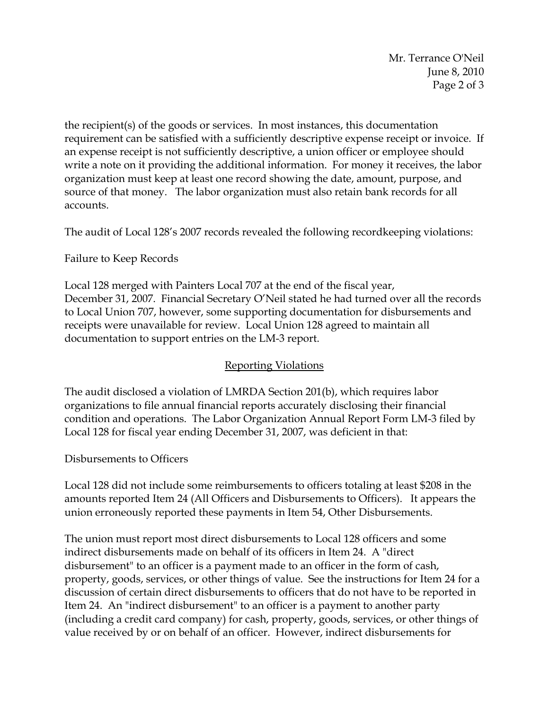Mr. Terrance O'Neil June 8, 2010 Page 2 of 3

the recipient(s) of the goods or services. In most instances, this documentation requirement can be satisfied with a sufficiently descriptive expense receipt or invoice. If an expense receipt is not sufficiently descriptive, a union officer or employee should write a note on it providing the additional information. For money it receives, the labor organization must keep at least one record showing the date, amount, purpose, and source of that money. The labor organization must also retain bank records for all accounts.

The audit of Local 128's 2007 records revealed the following recordkeeping violations:

## Failure to Keep Records

Local 128 merged with Painters Local 707 at the end of the fiscal year, December 31, 2007. Financial Secretary O'Neil stated he had turned over all the records to Local Union 707, however, some supporting documentation for disbursements and receipts were unavailable for review. Local Union 128 agreed to maintain all documentation to support entries on the LM-3 report.

# Reporting Violations

The audit disclosed a violation of LMRDA Section 201(b), which requires labor organizations to file annual financial reports accurately disclosing their financial condition and operations. The Labor Organization Annual Report Form LM-3 filed by Local 128 for fiscal year ending December 31, 2007, was deficient in that:

## Disbursements to Officers

Local 128 did not include some reimbursements to officers totaling at least \$208 in the amounts reported Item 24 (All Officers and Disbursements to Officers). It appears the union erroneously reported these payments in Item 54, Other Disbursements.

The union must report most direct disbursements to Local 128 officers and some indirect disbursements made on behalf of its officers in Item 24. A "direct disbursement" to an officer is a payment made to an officer in the form of cash, property, goods, services, or other things of value. See the instructions for Item 24 for a discussion of certain direct disbursements to officers that do not have to be reported in Item 24. An "indirect disbursement" to an officer is a payment to another party (including a credit card company) for cash, property, goods, services, or other things of value received by or on behalf of an officer. However, indirect disbursements for